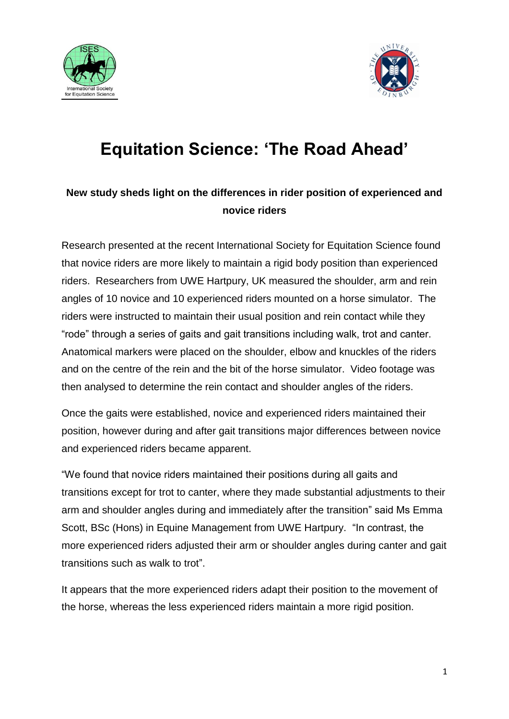



## **Equitation Science: 'The Road Ahead'**

## **New study sheds light on the differences in rider position of experienced and novice riders**

Research presented at the recent International Society for Equitation Science found that novice riders are more likely to maintain a rigid body position than experienced riders. Researchers from UWE Hartpury, UK measured the shoulder, arm and rein angles of 10 novice and 10 experienced riders mounted on a horse simulator. The riders were instructed to maintain their usual position and rein contact while they "rode" through a series of gaits and gait transitions including walk, trot and canter. Anatomical markers were placed on the shoulder, elbow and knuckles of the riders and on the centre of the rein and the bit of the horse simulator. Video footage was then analysed to determine the rein contact and shoulder angles of the riders.

Once the gaits were established, novice and experienced riders maintained their position, however during and after gait transitions major differences between novice and experienced riders became apparent.

"We found that novice riders maintained their positions during all gaits and transitions except for trot to canter, where they made substantial adjustments to their arm and shoulder angles during and immediately after the transition" said Ms Emma Scott, BSc (Hons) in Equine Management from UWE Hartpury. "In contrast, the more experienced riders adjusted their arm or shoulder angles during canter and gait transitions such as walk to trot".

It appears that the more experienced riders adapt their position to the movement of the horse, whereas the less experienced riders maintain a more rigid position.